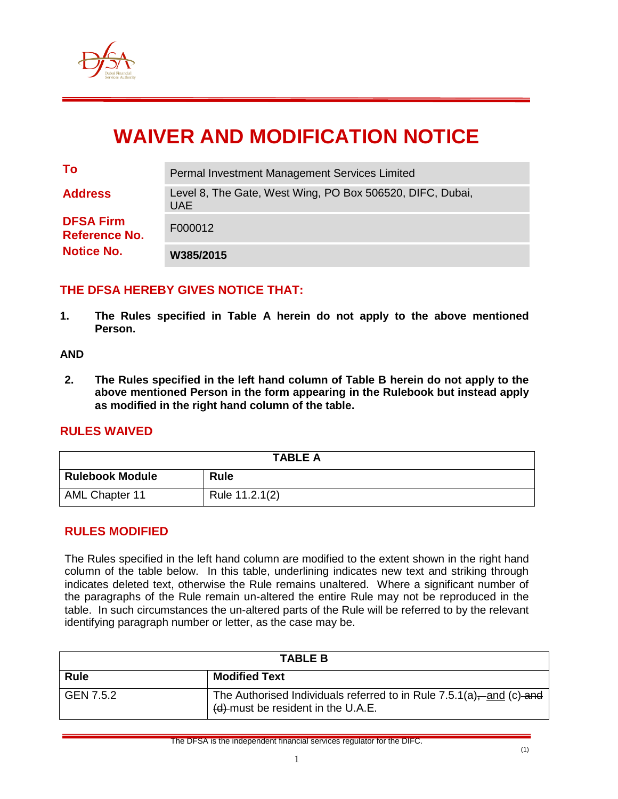

# **WAIVER AND MODIFICATION NOTICE**

| To                                       | Permal Investment Management Services Limited                           |
|------------------------------------------|-------------------------------------------------------------------------|
| <b>Address</b>                           | Level 8, The Gate, West Wing, PO Box 506520, DIFC, Dubai,<br><b>UAE</b> |
| <b>DFSA Firm</b><br><b>Reference No.</b> | F000012                                                                 |
| <b>Notice No.</b>                        | W385/2015                                                               |

### **THE DFSA HEREBY GIVES NOTICE THAT:**

**1. The Rules specified in Table A herein do not apply to the above mentioned Person.**

#### **AND**

**2. The Rules specified in the left hand column of Table B herein do not apply to the above mentioned Person in the form appearing in the Rulebook but instead apply as modified in the right hand column of the table.**

#### **RULES WAIVED**

| <b>TABLE A</b>         |                |  |  |
|------------------------|----------------|--|--|
| <b>Rulebook Module</b> | <b>Rule</b>    |  |  |
| AML Chapter 11         | Rule 11.2.1(2) |  |  |

#### **RULES MODIFIED**

The Rules specified in the left hand column are modified to the extent shown in the right hand column of the table below. In this table, underlining indicates new text and striking through indicates deleted text, otherwise the Rule remains unaltered. Where a significant number of the paragraphs of the Rule remain un-altered the entire Rule may not be reproduced in the table. In such circumstances the un-altered parts of the Rule will be referred to by the relevant identifying paragraph number or letter, as the case may be.

| <b>TABLE B</b> |                                                                                                               |  |
|----------------|---------------------------------------------------------------------------------------------------------------|--|
| <b>Rule</b>    | <b>Modified Text</b>                                                                                          |  |
| GEN 7.5.2      | The Authorised Individuals referred to in Rule 7.5.1(a),—and (c)-and<br>$(d)$ -must be resident in the U.A.E. |  |